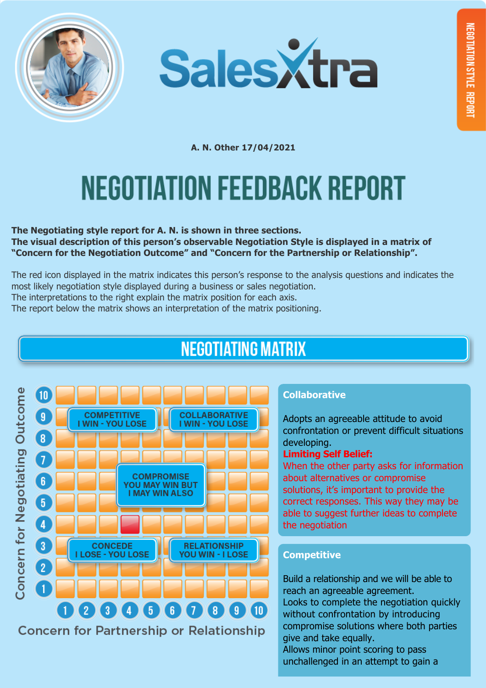



**A. N. Other 17/04/2021**

# **NEGOTIATION FEEDBACK REPORT**

**The Negotiating style report for A. N. is shown in three sections. The visual description of this person's observable Negotiation Style is displayed in a matrix of "Concern for the Negotiation Outcome" and "Concern for the Partnership or Relationship".**

The red icon displayed in the matrix indicates this person's response to the analysis questions and indicates the most likely negotiation style displayed during a business or sales negotiation. The interpretations to the right explain the matrix position for each axis.

The report below the matrix shows an interpretation of the matrix positioning.

## **NEGOTIATING MATRIX**



#### **Collaborative**

Adopts an agreeable attitude to avoid confrontation or prevent difficult situations developing.

#### **Limiting Self Belief:**

When the other party asks for information about alternatives or compromise solutions, it's important to provide the correct responses. This way they may be able to suggest further ideas to complete the negotiation

### **Competitive**

Build a relationship and we will be able to reach an agreeable agreement. Looks to complete the negotiation quickly without confrontation by introducing compromise solutions where both parties give and take equally.

Allows minor point scoring to pass unchallenged in an attempt to gain a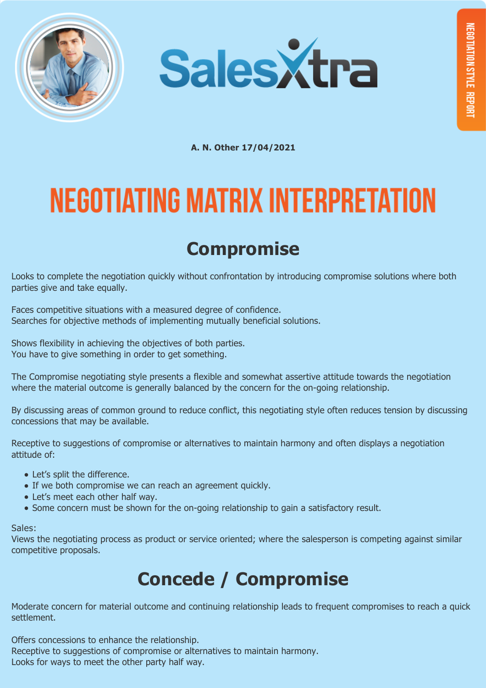



**A. N. Other 17/04/2021**

# **NEGOTIATING MATRIX INTERPRETATION**

## **Compromise**

Looks to complete the negotiation quickly without confrontation by introducing compromise solutions where both parties give and take equally.

Faces competitive situations with a measured degree of confidence. Searches for objective methods of implementing mutually beneficial solutions.

Shows flexibility in achieving the objectives of both parties. You have to give something in order to get something.

The Compromise negotiating style presents a flexible and somewhat assertive attitude towards the negotiation where the material outcome is generally balanced by the concern for the on-going relationship.

By discussing areas of common ground to reduce conflict, this negotiating style often reduces tension by discussing concessions that may be available.

Receptive to suggestions of compromise or alternatives to maintain harmony and often displays a negotiation attitude of:

- Let's split the difference.
- If we both compromise we can reach an agreement quickly.
- Let's meet each other half way.
- Some concern must be shown for the on-going relationship to gain a satisfactory result.

#### Sales:

Views the negotiating process as product or service oriented; where the salesperson is competing against similar competitive proposals.

## **Concede / Compromise**

Moderate concern for material outcome and continuing relationship leads to frequent compromises to reach a quick settlement.

Offers concessions to enhance the relationship.

Receptive to suggestions of compromise or alternatives to maintain harmony.

Looks for ways to meet the other party half way.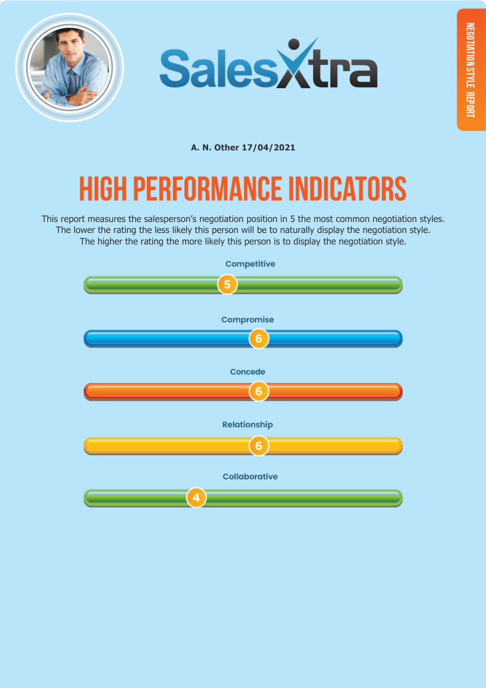



**A. N. Other 17/04/2021**

## **HIGH PERFORMANCE INDICATORS**

This report measures the salesperson's negotiation position in 5 the most common negotiation styles. The lower the rating the less likely this person will be to naturally display the negotiation style. The higher the rating the more likely this person is to display the negotiation style.